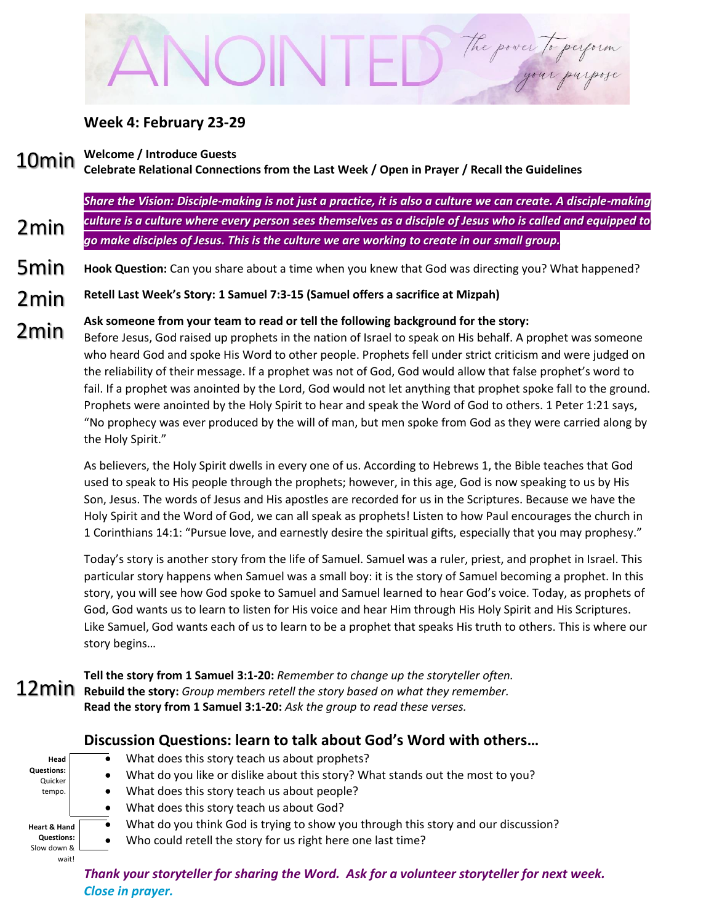# The power to perform

#### **Week 4: February 23-29**

**Welcome / Introduce Guests** 10min

2min

**Celebrate Relational Connections from the Last Week / Open in Prayer / Recall the Guidelines**

*Share the Vision: Disciple-making is not just a practice, it is also a culture we can create. A disciple-making culture is a culture where every person sees themselves as a disciple of Jesus who is called and equipped to go make disciples of Jesus. This is the culture we are working to create in our small group.* 

- **Hook Question:** Can you share about a time when you knew that God was directing you? What happened? 5min
- **Retell Last Week's Story: 1 Samuel 7:3-15 (Samuel offers a sacrifice at Mizpah)** 2min
- **Ask someone from your team to read or tell the following background for the story:** 2min
- Before Jesus, God raised up prophets in the nation of Israel to speak on His behalf. A prophet was someone who heard God and spoke His Word to other people. Prophets fell under strict criticism and were judged on the reliability of their message. If a prophet was not of God, God would allow that false prophet's word to fail. If a prophet was anointed by the Lord, God would not let anything that prophet spoke fall to the ground. Prophets were anointed by the Holy Spirit to hear and speak the Word of God to others. 1 Peter 1:21 says, "No prophecy was ever produced by the will of man, but men spoke from God as they were carried along by the Holy Spirit."

As believers, the Holy Spirit dwells in every one of us. According to Hebrews 1, the Bible teaches that God used to speak to His people through the prophets; however, in this age, God is now speaking to us by His Son, Jesus. The words of Jesus and His apostles are recorded for us in the Scriptures. Because we have the Holy Spirit and the Word of God, we can all speak as prophets! Listen to how Paul encourages the church in 1 Corinthians 14:1: "Pursue love, and earnestly desire the spiritual gifts, especially that you may prophesy."

Today's story is another story from the life of Samuel. Samuel was a ruler, priest, and prophet in Israel. This particular story happens when Samuel was a small boy: it is the story of Samuel becoming a prophet. In this story, you will see how God spoke to Samuel and Samuel learned to hear God's voice. Today, as prophets of God, God wants us to learn to listen for His voice and hear Him through His Holy Spirit and His Scriptures. Like Samuel, God wants each of us to learn to be a prophet that speaks His truth to others. This is where our story begins…

**Tell the story from 1 Samuel 3:1-20:** *Remember to change up the storyteller often.* **Rebuild the story:** *Group members retell the story based on what they remember.* **Read the story from 1 Samuel 3:1-20:** *Ask the group to read these verses.*

## **Discussion Questions: learn to talk about God's Word with others…**

| Head                         |           | What does this story teach us about prophets?                                      |
|------------------------------|-----------|------------------------------------------------------------------------------------|
| <b>Questions:</b><br>Quicker |           | What do you like or dislike about this story? What stands out the most to you?     |
| tempo.                       |           | What does this story teach us about people?                                        |
|                              |           | What does this story teach us about God?                                           |
| <b>Heart &amp; Hand</b>      |           | What do you think God is trying to show you through this story and our discussion? |
| <b>Questions:</b>            | $\bullet$ | Who could retell the story for us right here one last time?                        |
| Slow down &<br>wait!         |           |                                                                                    |

*Thank your storyteller for sharing the Word. Ask for a volunteer storyteller for next week. Close in prayer.*